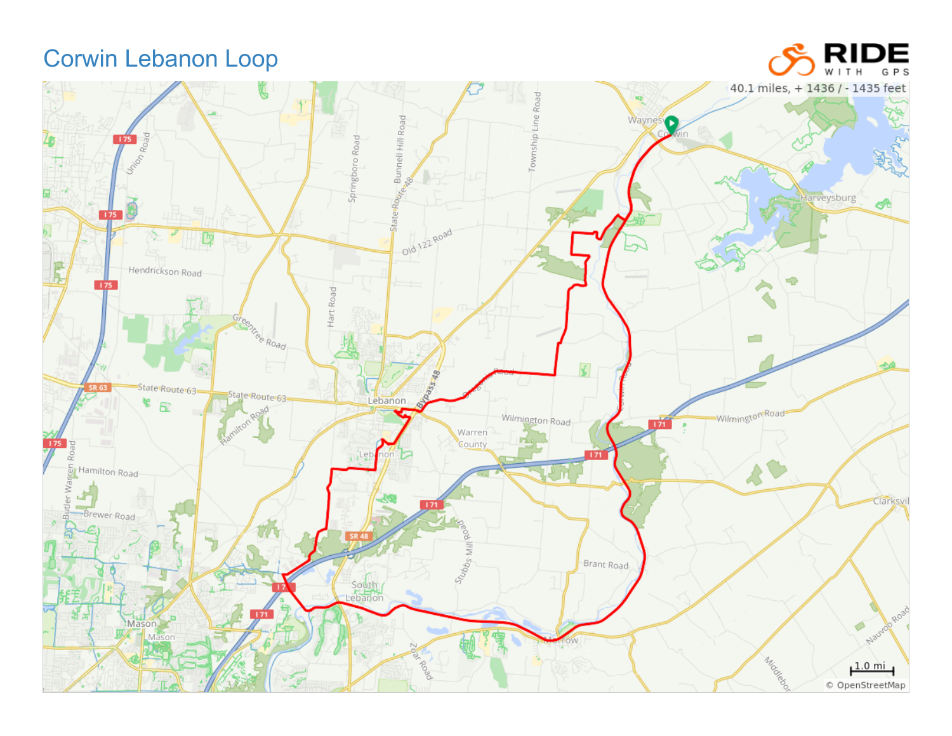## Corwin Lebanon Loop



**RIDE** GPS